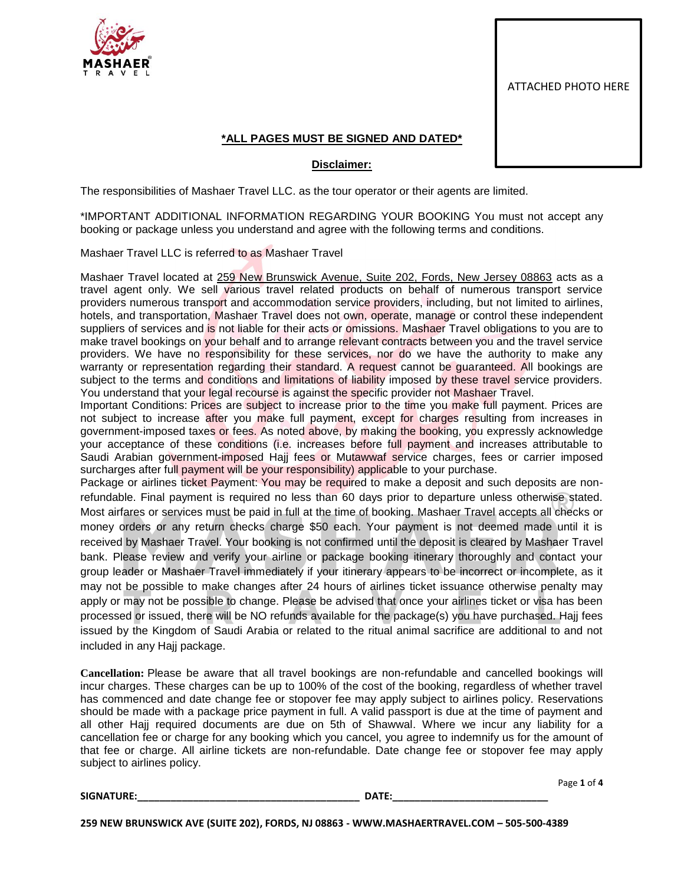

ATTACHED PHOTO HERE

## **\*ALL PAGES MUST BE SIGNED AND DATED\***

## **Disclaimer:**

The responsibilities of Mashaer Travel LLC. as the tour operator or their agents are limited.

\*IMPORTANT ADDITIONAL INFORMATION REGARDING YOUR BOOKING You must not accept any booking or package unless you understand and agree with the following terms and conditions.

Mashaer Travel LLC is referred to as Mashaer Travel

Mashaer Travel located at 259 New Brunswick Avenue, Suite 202, Fords, New Jersey 08863 acts as a travel agent only. We sell various travel related products on behalf of numerous transport service providers numerous transport and accommodation service providers, including, but not limited to airlines, hotels, and transportation, Mashaer Travel does not own, operate, manage or control these independent suppliers of services and is not liable for their acts or omissions. Mashaer Travel obligations to you are to make travel bookings on your behalf and to arrange relevant contracts between you and the travel service providers. We have no responsibility for these services, nor do we have the authority to make any warranty or representation regarding their standard. A request cannot be guaranteed. All bookings are subject to the terms and conditions and limitations of liability imposed by these travel service providers. You understand that your legal recourse is against the specific provider not Mashaer Travel.

Important Conditions: Prices are subject to increase prior to the time you make full payment. Prices are not subject to increase after you make full payment, except for charges resulting from increases in government-imposed taxes or fees. As noted above, by making the booking, you expressly acknowledge your acceptance of these conditions (i.e. increases before full payment and increases attributable to Saudi Arabian government-imposed Hajj fees or Mutawwaf service charges, fees or carrier imposed surcharges after full payment will be your responsibility) applicable to your purchase.

Package or airlines ticket Payment: You may be required to make a deposit and such deposits are nonrefundable. Final payment is required no less than 60 days prior to departure unless otherwise stated. Most airfares or services must be paid in full at the time of booking. Mashaer Travel accepts all checks or money orders or any return checks charge \$50 each. Your payment is not deemed made until it is received by Mashaer Travel. Your booking is not confirmed until the deposit is cleared by Mashaer Travel bank. Please review and verify your airline or package booking itinerary thoroughly and contact your group leader or Mashaer Travel immediately if your itinerary appears to be incorrect or incomplete, as it may not be possible to make changes after 24 hours of airlines ticket issuance otherwise penalty may apply or may not be possible to change. Please be advised that once your airlines ticket or visa has been processed or issued, there will be NO refunds available for the package(s) you have purchased. Hajj fees issued by the Kingdom of Saudi Arabia or related to the ritual animal sacrifice are additional to and not included in any Hajj package.

**Cancellation:** Please be aware that all travel bookings are non-refundable and cancelled bookings will incur charges. These charges can be up to 100% of the cost of the booking, regardless of whether travel has commenced and date change fee or stopover fee may apply subject to airlines policy. Reservations should be made with a package price payment in full. A valid passport is due at the time of payment and all other Hajj required documents are due on 5th of Shawwal. Where we incur any liability for a cancellation fee or charge for any booking which you cancel, you agree to indemnify us for the amount of that fee or charge. All airline tickets are non-refundable. Date change fee or stopover fee may apply subject to airlines policy.

**SIGNATURE:\_\_\_\_\_\_\_\_\_\_\_\_\_\_\_\_\_\_\_\_\_\_\_\_\_\_\_\_\_\_\_\_\_\_\_\_\_\_\_\_ DATE:\_\_\_\_\_\_\_\_\_\_\_\_\_\_\_\_\_\_\_\_\_\_\_\_\_\_\_\_**

Page **1** of **4**

**259 NEW BRUNSWICK AVE (SUITE 202), FORDS, NJ 08863 - WWW.MASHAERTRAVEL.COM – 505-500-4389**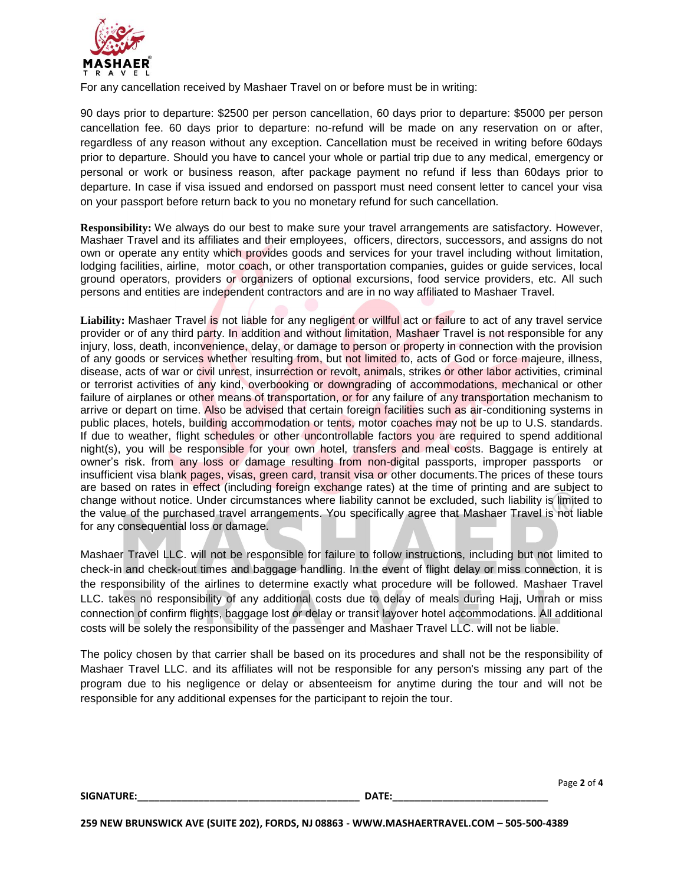

For any cancellation received by Mashaer Travel on or before must be in writing:

90 days prior to departure: \$2500 per person cancellation, 60 days prior to departure: \$5000 per person cancellation fee. 60 days prior to departure: no-refund will be made on any reservation on or after, regardless of any reason without any exception. Cancellation must be received in writing before 60days prior to departure. Should you have to cancel your whole or partial trip due to any medical, emergency or personal or work or business reason, after package payment no refund if less than 60days prior to departure. In case if visa issued and endorsed on passport must need consent letter to cancel your visa on your passport before return back to you no monetary refund for such cancellation.

**Responsibility:** We always do our best to make sure your travel arrangements are satisfactory. However, Mashaer Travel and its affiliates and their employees, officers, directors, successors, and assigns do not own or operate any entity which provides goods and services for your travel including without limitation, lodging facilities, airline, motor coach, or other transportation companies, guides or guide services, local ground operators, providers or organizers of optional excursions, food service providers, etc. All such persons and entities are independent contractors and are in no way affiliated to Mashaer Travel.

**Liability:** Mashaer Travel is not liable for any negligent or willful act or failure to act of any travel service provider or of any third party. In addition and without limitation, Mashaer Travel is not responsible for any injury, loss, death, inconvenience, delay, or damage to person or property in connection with the provision of any goods or services whether resulting from, but not limited to, acts of God or force majeure, illness, disease, acts of war or civil unrest, insurrection or revolt, animals, strikes or other labor activities, criminal or terrorist activities of any kind, overbooking or downgrading of accommodations, mechanical or other failure of airplanes or other means of transportation, or for any failure of any transportation mechanism to arrive or depart on time. Also be advised that certain foreign facilities such as air-conditioning systems in public places, hotels, building accommodation or tents, motor coaches may not be up to U.S. standards. If due to weather, flight schedules or other uncontrollable factors you are required to spend additional night(s), you will be responsible for your own hotel, transfers and meal costs. Baggage is entirely at owner's risk. from any loss or damage resulting from non-digital passports, improper passports or insufficient visa blank pages, visas, green card, transit visa or other documents.The prices of these tours are based on rates in effect (including foreign exchange rates) at the time of printing and are subject to change without notice. Under circumstances where liability cannot be excluded, such liability is limited to the value of the purchased travel arrangements. You specifically agree that Mashaer Travel is not liable for any consequential loss or damage.

Mashaer Travel LLC. will not be responsible for failure to follow instructions, including but not limited to check-in and check-out times and baggage handling. In the event of flight delay or miss connection, it is the responsibility of the airlines to determine exactly what procedure will be followed. Mashaer Travel LLC. takes no responsibility of any additional costs due to delay of meals during Hajj, Umrah or miss connection of confirm flights, baggage lost or delay or transit layover hotel accommodations. All additional costs will be solely the responsibility of the passenger and Mashaer Travel LLC. will not be liable.

The policy chosen by that carrier shall be based on its procedures and shall not be the responsibility of Mashaer Travel LLC. and its affiliates will not be responsible for any person's missing any part of the program due to his negligence or delay or absenteeism for anytime during the tour and will not be responsible for any additional expenses for the participant to rejoin the tour.

**SIGNATURE:\_\_\_\_\_\_\_\_\_\_\_\_\_\_\_\_\_\_\_\_\_\_\_\_\_\_\_\_\_\_\_\_\_\_\_\_\_\_\_\_ DATE:\_\_\_\_\_\_\_\_\_\_\_\_\_\_\_\_\_\_\_\_\_\_\_\_\_\_\_\_**

Page **2** of **4**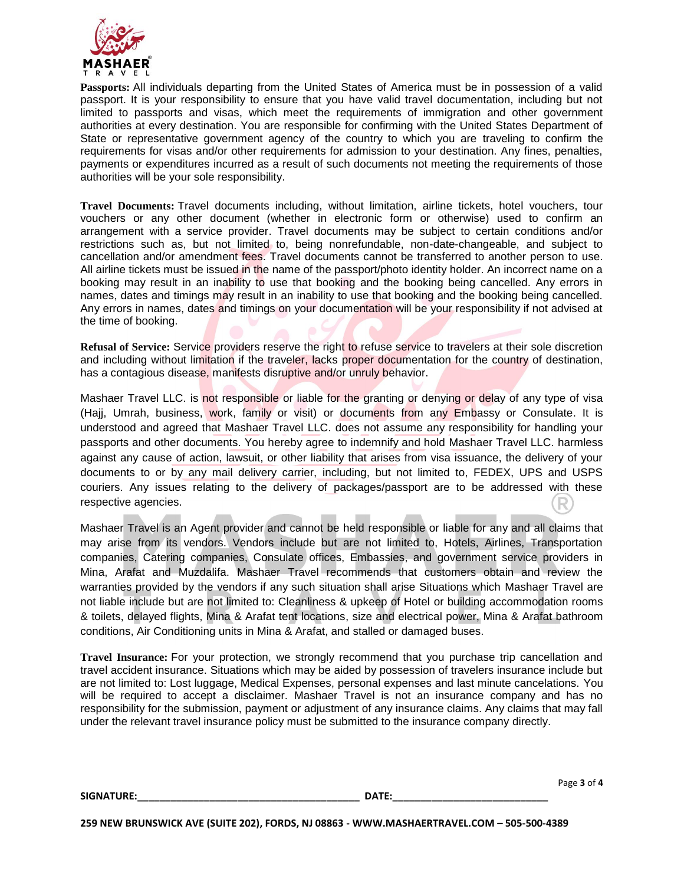

**Passports:** All individuals departing from the United States of America must be in possession of a valid passport. It is your responsibility to ensure that you have valid travel documentation, including but not limited to passports and visas, which meet the requirements of immigration and other government authorities at every destination. You are responsible for confirming with the United States Department of State or representative government agency of the country to which you are traveling to confirm the requirements for visas and/or other requirements for admission to your destination. Any fines, penalties, payments or expenditures incurred as a result of such documents not meeting the requirements of those authorities will be your sole responsibility.

**Travel Documents:** Travel documents including, without limitation, airline tickets, hotel vouchers, tour vouchers or any other document (whether in electronic form or otherwise) used to confirm an arrangement with a service provider. Travel documents may be subject to certain conditions and/or restrictions such as, but not limited to, being nonrefundable, non-date-changeable, and subject to cancellation and/or amendment fees. Travel documents cannot be transferred to another person to use. All airline tickets must be issued in the name of the passport/photo identity holder. An incorrect name on a booking may result in an inability to use that booking and the booking being cancelled. Any errors in names, dates and timings may result in an inability to use that booking and the booking being cancelled. Any errors in names, dates and timings on your documentation will be your responsibility if not advised at the time of booking.

**Refusal of Service:** Service providers reserve the right to refuse service to travelers at their sole discretion and including without limitation if the traveler, lacks proper documentation for the country of destination, has a contagious disease, manifests disruptive and/or unruly behavior.

Mashaer Travel LLC. is not responsible or liable for the granting or denying or delay of any type of visa (Hajj, Umrah, business, work, family or visit) or documents from any Embassy or Consulate. It is understood and agreed that Mashaer Travel LLC. does not assume any responsibility for handling your passports and other documents. You hereby agree to indemnify and hold Mashaer Travel LLC. harmless against any cause of action, lawsuit, or other liability that arises from visa issuance, the delivery of your documents to or by any mail delivery carrier, including, but not limited to, FEDEX, UPS and USPS couriers. Any issues relating to the delivery of packages/passport are to be addressed with these respective agencies.

Mashaer Travel is an Agent provider and cannot be held responsible or liable for any and all claims that may arise from its vendors. Vendors include but are not limited to, Hotels, Airlines, Transportation companies, Catering companies, Consulate offices, Embassies, and government service providers in Mina, Arafat and Muzdalifa. Mashaer Travel recommends that customers obtain and review the warranties provided by the vendors if any such situation shall arise Situations which Mashaer Travel are not liable include but are not limited to: Cleanliness & upkeep of Hotel or building accommodation rooms & toilets, delayed flights, Mina & Arafat tent locations, size and electrical power, Mina & Arafat bathroom conditions, Air Conditioning units in Mina & Arafat, and stalled or damaged buses.

**Travel Insurance:** For your protection, we strongly recommend that you purchase trip cancellation and travel accident insurance. Situations which may be aided by possession of travelers insurance include but are not limited to: Lost luggage, Medical Expenses, personal expenses and last minute cancelations. You will be required to accept a disclaimer. Mashaer Travel is not an insurance company and has no responsibility for the submission, payment or adjustment of any insurance claims. Any claims that may fall under the relevant travel insurance policy must be submitted to the insurance company directly.

|                   |       | Page 3 of 4 |
|-------------------|-------|-------------|
| <b>SIGNATURE:</b> | DATE: |             |